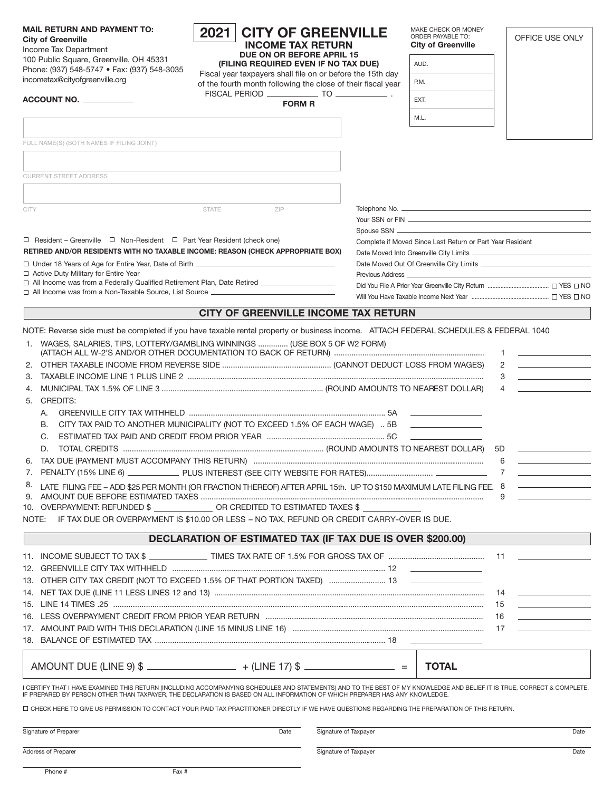| <b>MAIL RETURN AND PAYMENT TO:</b><br><b>City of Greenville</b><br>Income Tax Department                                                                                                                                                                                                               | 2021<br><b>INCOME TAX RETURN</b><br>DUE ON OR BEFORE APRIL 15                                                              | <b>CITY OF GREENVILLE</b> | MAKE CHECK OR MONEY<br>ORDER PAYABLE TO:<br><b>City of Greenville</b> | OFFICE USE ONLY                                                                                                                                                                               |
|--------------------------------------------------------------------------------------------------------------------------------------------------------------------------------------------------------------------------------------------------------------------------------------------------------|----------------------------------------------------------------------------------------------------------------------------|---------------------------|-----------------------------------------------------------------------|-----------------------------------------------------------------------------------------------------------------------------------------------------------------------------------------------|
| 100 Public Square, Greenville, OH 45331<br>Phone: (937) 548-5747 • Fax: (937) 548-3035                                                                                                                                                                                                                 | (FILING REQUIRED EVEN IF NO TAX DUE)                                                                                       |                           | AUD.                                                                  |                                                                                                                                                                                               |
| incometax@cityofgreenville.org                                                                                                                                                                                                                                                                         | Fiscal year taxpayers shall file on or before the 15th day<br>of the fourth month following the close of their fiscal year |                           | P.M.                                                                  |                                                                                                                                                                                               |
| ACCOUNT NO.                                                                                                                                                                                                                                                                                            | <b>FORM R</b>                                                                                                              |                           | EXT.                                                                  |                                                                                                                                                                                               |
|                                                                                                                                                                                                                                                                                                        |                                                                                                                            |                           | M.L.                                                                  |                                                                                                                                                                                               |
|                                                                                                                                                                                                                                                                                                        |                                                                                                                            |                           |                                                                       |                                                                                                                                                                                               |
| FULL NAME(S) (BOTH NAMES IF FILING JOINT)                                                                                                                                                                                                                                                              |                                                                                                                            |                           |                                                                       |                                                                                                                                                                                               |
|                                                                                                                                                                                                                                                                                                        |                                                                                                                            |                           |                                                                       |                                                                                                                                                                                               |
| <b>CURRENT STREET ADDRESS</b>                                                                                                                                                                                                                                                                          |                                                                                                                            |                           |                                                                       |                                                                                                                                                                                               |
|                                                                                                                                                                                                                                                                                                        |                                                                                                                            |                           |                                                                       |                                                                                                                                                                                               |
| CITY                                                                                                                                                                                                                                                                                                   | <b>STATE</b><br>ZIP                                                                                                        |                           |                                                                       |                                                                                                                                                                                               |
|                                                                                                                                                                                                                                                                                                        |                                                                                                                            |                           |                                                                       |                                                                                                                                                                                               |
| $\Box$ Resident – Greenville $\Box$ Non-Resident $\Box$ Part Year Resident (check one)                                                                                                                                                                                                                 |                                                                                                                            |                           | Complete if Moved Since Last Return or Part Year Resident             |                                                                                                                                                                                               |
| RETIRED AND/OR RESIDENTS WITH NO TAXABLE INCOME: REASON (CHECK APPROPRIATE BOX)                                                                                                                                                                                                                        |                                                                                                                            |                           |                                                                       |                                                                                                                                                                                               |
| □ Active Duty Military for Entire Year                                                                                                                                                                                                                                                                 |                                                                                                                            |                           |                                                                       |                                                                                                                                                                                               |
| □ All Income was from a Federally Qualified Retirement Plan, Date Retired ___________________                                                                                                                                                                                                          |                                                                                                                            |                           |                                                                       |                                                                                                                                                                                               |
|                                                                                                                                                                                                                                                                                                        |                                                                                                                            |                           |                                                                       |                                                                                                                                                                                               |
|                                                                                                                                                                                                                                                                                                        | CITY OF GREENVILLE INCOME TAX RETURN                                                                                       |                           |                                                                       |                                                                                                                                                                                               |
| NOTE: Reverse side must be completed if you have taxable rental property or business income. ATTACH FEDERAL SCHEDULES & FEDERAL 1040                                                                                                                                                                   |                                                                                                                            |                           |                                                                       |                                                                                                                                                                                               |
| 1. WAGES, SALARIES, TIPS, LOTTERY/GAMBLING WINNINGS  (USE BOX 5 OF W2 FORM)<br>3.                                                                                                                                                                                                                      |                                                                                                                            |                           |                                                                       | <u> Albanya (Albanya) albanyi albanyi albanyi albanyi albanyi albanyi albanyi albanyi albanyi albanyi albanyi alb</u><br>1<br>2 $\sim$<br><u>and the state of the state of the state</u><br>3 |
| 4.                                                                                                                                                                                                                                                                                                     |                                                                                                                            |                           |                                                                       | 4                                                                                                                                                                                             |
| <b>CREDITS:</b><br>5.                                                                                                                                                                                                                                                                                  |                                                                                                                            |                           |                                                                       |                                                                                                                                                                                               |
| А.                                                                                                                                                                                                                                                                                                     |                                                                                                                            |                           |                                                                       |                                                                                                                                                                                               |
| CITY TAX PAID TO ANOTHER MUNICIPALITY (NOT TO EXCEED 1.5% OF EACH WAGE)  5B ____________________<br>В.                                                                                                                                                                                                 |                                                                                                                            |                           |                                                                       |                                                                                                                                                                                               |
| C.                                                                                                                                                                                                                                                                                                     |                                                                                                                            |                           |                                                                       |                                                                                                                                                                                               |
| D.                                                                                                                                                                                                                                                                                                     |                                                                                                                            |                           |                                                                       | 5D                                                                                                                                                                                            |
|                                                                                                                                                                                                                                                                                                        |                                                                                                                            |                           |                                                                       | <u>and the state of the state of the state</u><br>6                                                                                                                                           |
|                                                                                                                                                                                                                                                                                                        |                                                                                                                            |                           |                                                                       |                                                                                                                                                                                               |
| 8.<br>LATE FILING FEE - ADD \$25 PER MONTH (OR FRACTION THEREOF) AFTER APRIL 15th. UP TO \$150 MAXIMUM LATE FILING FEE. 8                                                                                                                                                                              |                                                                                                                            |                           |                                                                       |                                                                                                                                                                                               |
| 10. OVERPAYMENT: REFUNDED \$ _______________ OR CREDITED TO ESTIMATED TAXES \$ ___                                                                                                                                                                                                                     |                                                                                                                            |                           |                                                                       |                                                                                                                                                                                               |
| NOTE: IF TAX DUE OR OVERPAYMENT IS \$10.00 OR LESS - NO TAX, REFUND OR CREDIT CARRY-OVER IS DUE.                                                                                                                                                                                                       |                                                                                                                            |                           |                                                                       |                                                                                                                                                                                               |
|                                                                                                                                                                                                                                                                                                        | <b>DECLARATION OF ESTIMATED TAX (IF TAX DUE IS OVER \$200.00)</b>                                                          |                           |                                                                       |                                                                                                                                                                                               |
|                                                                                                                                                                                                                                                                                                        |                                                                                                                            |                           |                                                                       |                                                                                                                                                                                               |
|                                                                                                                                                                                                                                                                                                        |                                                                                                                            |                           |                                                                       |                                                                                                                                                                                               |
|                                                                                                                                                                                                                                                                                                        |                                                                                                                            |                           |                                                                       |                                                                                                                                                                                               |
|                                                                                                                                                                                                                                                                                                        |                                                                                                                            |                           |                                                                       | $\mathcal{L}^{\mathcal{L}}$ and $\mathcal{L}^{\mathcal{L}}$ are the set of the set of the set of the $\mathcal{L}^{\mathcal{L}}$<br>14                                                        |
|                                                                                                                                                                                                                                                                                                        |                                                                                                                            |                           |                                                                       | and the control of the control of<br>15                                                                                                                                                       |
|                                                                                                                                                                                                                                                                                                        |                                                                                                                            |                           |                                                                       | the control of the control of the<br>16                                                                                                                                                       |
|                                                                                                                                                                                                                                                                                                        |                                                                                                                            |                           |                                                                       | 17                                                                                                                                                                                            |
|                                                                                                                                                                                                                                                                                                        |                                                                                                                            |                           |                                                                       |                                                                                                                                                                                               |
| AMOUNT DUE (LINE 9) \$ __________________________ + (LINE 17) \$ __________________ =                                                                                                                                                                                                                  |                                                                                                                            |                           | <b>TOTAL</b>                                                          |                                                                                                                                                                                               |
| I CERTIFY THAT I HAVE EXAMINED THIS RETURN (INCLUDING ACCOMPANYING SCHEDULES AND STATEMENTS) AND TO THE BEST OF MY KNOWLEDGE AND BELIEF IT IS TRUE, CORRECT & COMPLETE.<br>IF PREPARED BY PERSON OTHER THAN TAXPAYER, THE DECLARATION IS BASED ON ALL INFORMATION OF WHICH PREPARER HAS ANY KNOWLEDGE. |                                                                                                                            |                           |                                                                       |                                                                                                                                                                                               |
| O CHECK HERE TO GIVE US PERMISSION TO CONTACT YOUR PAID TAX PRACTITIONER DIRECTLY IF WE HAVE QUESTIONS REGARDING THE PREPARATION OF THIS RETURN.                                                                                                                                                       |                                                                                                                            |                           |                                                                       |                                                                                                                                                                                               |
| Signature of Preparer                                                                                                                                                                                                                                                                                  | Date                                                                                                                       | Signature of Taxpayer     |                                                                       | Date                                                                                                                                                                                          |
| Address of Preparer                                                                                                                                                                                                                                                                                    |                                                                                                                            | Signature of Taxpayer     |                                                                       | Date                                                                                                                                                                                          |
| Fax #<br>Phone #                                                                                                                                                                                                                                                                                       |                                                                                                                            |                           |                                                                       |                                                                                                                                                                                               |